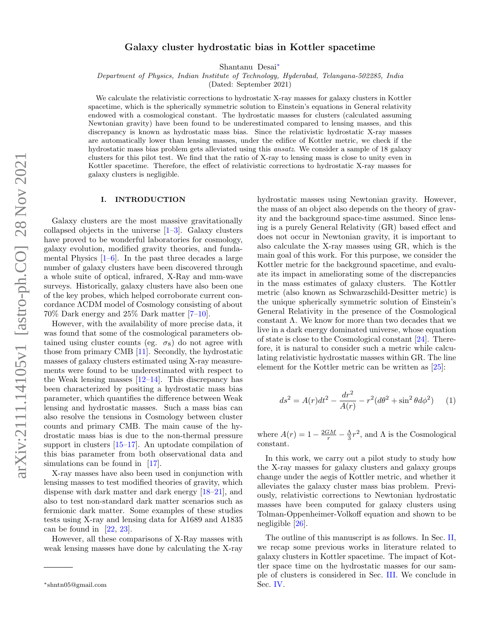# Galaxy cluster hydrostatic bias in Kottler spacetime

Shantanu Desai[∗](#page-0-0)

Department of Physics, Indian Institute of Technology, Hyderabad, Telangana-502285, India

(Dated: September 2021)

We calculate the relativistic corrections to hydrostatic X-ray masses for galaxy clusters in Kottler spacetime, which is the spherically symmetric solution to Einstein's equations in General relativity endowed with a cosmological constant. The hydrostatic masses for clusters (calculated assuming Newtonian gravity) have been found to be underestimated compared to lensing masses, and this discrepancy is known as hydrostatic mass bias. Since the relativistic hydrostatic X-ray masses are automatically lower than lensing masses, under the edifice of Kottler metric, we check if the hydrostatic mass bias problem gets alleviated using this ansatz. We consider a sample of 18 galaxy clusters for this pilot test. We find that the ratio of X-ray to lensing mass is close to unity even in Kottler spacetime. Therefore, the effect of relativistic corrections to hydrostatic X-ray masses for galaxy clusters is negligible.

### I. INTRODUCTION

Galaxy clusters are the most massive gravitationally collapsed objects in the universe  $[1-3]$  $[1-3]$ . Galaxy clusters have proved to be wonderful laboratories for cosmology, galaxy evolution, modified gravity theories, and fundamental Physics  $[1-6]$  $[1-6]$ . In the past three decades a large number of galaxy clusters have been discovered through a whole suite of optical, infrared, X-Ray and mm-wave surveys. Historically, galaxy clusters have also been one of the key probes, which helped corroborate current concordance ΛCDM model of Cosmology consisting of about 70% Dark energy and 25% Dark matter [\[7–](#page-2-3)[10\]](#page-2-4).

However, with the availability of more precise data, it was found that some of the cosmological parameters obtained using cluster counts (eg.  $\sigma_8$ ) do not agree with those from primary CMB [\[11\]](#page-2-5). Secondly, the hydrostatic masses of galaxy clusters estimated using X-ray measurements were found to be underestimated with respect to the Weak lensing masses  $[12-14]$  $[12-14]$ . This discrepancy has been characterized by positing a hydrostatic mass bias parameter, which quantifies the difference between Weak lensing and hydrostatic masses. Such a mass bias can also resolve the tensions in Cosmology between cluster counts and primary CMB. The main cause of the hydrostatic mass bias is due to the non-thermal pressure support in clusters [\[15–](#page-2-8)[17\]](#page-2-9). An uptodate compilation of this bias parameter from both observational data and simulations can be found in [\[17\]](#page-2-9).

X-ray masses have also been used in conjunction with lensing masses to test modified theories of gravity, which dispense with dark matter and dark energy [\[18](#page-2-10)[–21\]](#page-3-0), and also to test non-standard dark matter scenarios such as fermionic dark matter. Some examples of these studies tests using X-ray and lensing data for A1689 and A1835 can be found in [\[22,](#page-3-1) [23\]](#page-3-2).

However, all these comparisons of X-Ray masses with weak lensing masses have done by calculating the X-ray hydrostatic masses using Newtonian gravity. However, the mass of an object also depends on the theory of gravity and the background space-time assumed. Since lensing is a purely General Relativity (GR) based effect and does not occur in Newtonian gravity, it is important to also calculate the X-ray masses using GR, which is the main goal of this work. For this purpose, we consider the Kottler metric for the background spacetime, and evaluate its impact in ameliorating some of the discrepancies in the mass estimates of galaxy clusters. The Kottler metric (also known as Schwarzschild-Desitter metric) is the unique spherically symmetric solution of Einstein's General Relativity in the presence of the Cosmological constant Λ. We know for more than two decades that we live in a dark energy dominated universe, whose equation of state is close to the Cosmological constant [\[24\]](#page-3-3). Therefore, it is natural to consider such a metric while calculating relativistic hydrostatic masses within GR. The line element for the Kottler metric can be written as [\[25\]](#page-3-4):

$$
ds^{2} = A(r)dt^{2} - \frac{dr^{2}}{A(r)} - r^{2}(d\theta^{2} + \sin^{2}\theta d\phi^{2})
$$
 (1)

where  $A(r) = 1 - \frac{2GM}{r} - \frac{\Lambda}{3}r^2$ , and  $\Lambda$  is the Cosmological constant.

In this work, we carry out a pilot study to study how the X-ray masses for galaxy clusters and galaxy groups change under the aegis of Kottler metric, and whether it alleviates the galaxy cluster mass bias problem. Previously, relativistic corrections to Newtonian hydrostatic masses have been computed for galaxy clusters using Tolman-Oppenheimer-Volkoff equation and shown to be negligible [\[26\]](#page-3-5).

The outline of this manuscript is as follows. In Sec. [II,](#page-1-0) we recap some previous works in literature related to galaxy clusters in Kottler spacetime. The impact of Kottler space time on the hydrostatic masses for our sample of clusters is considered in Sec. [III.](#page-1-1) We conclude in Sec. [IV.](#page-1-2)

<span id="page-0-0"></span><sup>∗</sup>shntn05@gmail.com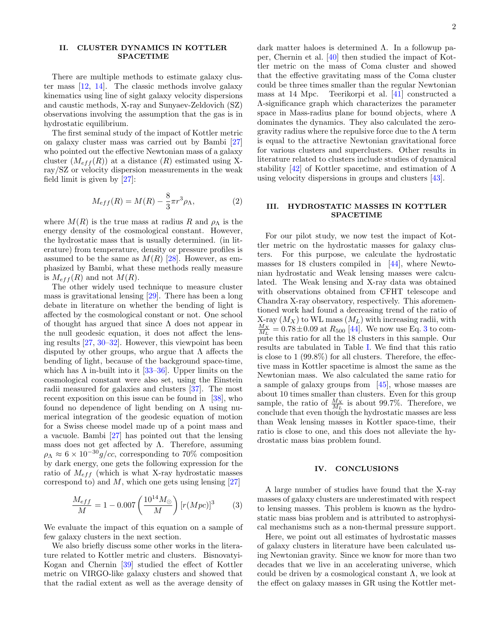### <span id="page-1-0"></span>II. CLUSTER DYNAMICS IN KOTTLER SPACETIME

There are multiple methods to estimate galaxy cluster mass  $[12, 14]$  $[12, 14]$  $[12, 14]$ . The classic methods involve galaxy kinematics using line of sight galaxy velocity dispersions and caustic methods, X-ray and Sunyaev-Zeldovich (SZ) observations involving the assumption that the gas is in hydrostatic equilibrium.

The first seminal study of the impact of Kottler metric on galaxy cluster mass was carried out by Bambi [\[27\]](#page-3-6) who pointed out the effective Newtonian mass of a galaxy cluster  $(M_{eff}(R))$  at a distance  $(R)$  estimated using Xray/SZ or velocity dispersion measurements in the weak field limit is given by [\[27\]](#page-3-6):

$$
M_{eff}(R) = M(R) - \frac{8}{3}\pi r^3 \rho_\Lambda,\tag{2}
$$

where  $M(R)$  is the true mass at radius R and  $\rho_{\Lambda}$  is the energy density of the cosmological constant. However, the hydrostatic mass that is usually determined. (in literature) from temperature, density or pressure profiles is assumed to be the same as  $M(R)$  [\[28\]](#page-3-7). However, as emphasized by Bambi, what these methods really measure is  $M_{eff}(R)$  and not  $M(R)$ .

The other widely used technique to measure cluster mass is gravitational lensing [\[29\]](#page-3-8). There has been a long debate in literature on whether the bending of light is affected by the cosmological constant or not. One school of thought has argued that since  $\Lambda$  does not appear in the null geodesic equation, it does not affect the lensing results [\[27,](#page-3-6) [30–](#page-3-9)[32\]](#page-3-10). However, this viewpoint has been disputed by other groups, who argue that  $\Lambda$  affects the bending of light, because of the background space-time, which has  $\Lambda$  in-built into it [\[33](#page-3-11)[–36\]](#page-3-12). Upper limits on the cosmological constant were also set, using the Einstein radii measured for galaxies and clusters [\[37\]](#page-3-13). The most recent exposition on this issue can be found in [\[38\]](#page-3-14), who found no dependence of light bending on  $\Lambda$  using numerical integration of the geodesic equation of motion for a Swiss cheese model made up of a point mass and a vacuole. Bambi [\[27\]](#page-3-6) has pointed out that the lensing mass does not get affected by  $\Lambda$ . Therefore, assuming  $\rho_{\Lambda} \approx 6 \times 10^{-30} g/cc$ , corresponding to 70% composition by dark energy, one gets the following expression for the ratio of  $M_{eff}$  (which is what X-ray hydrostatic masses correspond to) and  $M$ , which one gets using lensing [\[27\]](#page-3-6)

$$
\frac{M_{eff}}{M} = 1 - 0.007 \left(\frac{10^{14} M_{\odot}}{M}\right) [r(Mpc)]^3 \tag{3}
$$

We evaluate the impact of this equation on a sample of few galaxy clusters in the next section.

We also briefly discuss some other works in the literature related to Kottler metric and clusters. Bisnovatyi-Kogan and Chernin [\[39\]](#page-3-15) studied the effect of Kottler metric on VIRGO-like galaxy clusters and showed that that the radial extent as well as the average density of dark matter haloes is determined Λ. In a followup paper, Chernin et al. [\[40\]](#page-3-16) then studied the impact of Kottler metric on the mass of Coma cluster and showed that the effective gravitating mass of the Coma cluster could be three times smaller than the regular Newtonian mass at 14 Mpc. Teerikorpi et al. [\[41\]](#page-3-17) constructed a Λ-significance graph which characterizes the parameter space in Mass-radius plane for bound objects, where Λ dominates the dynamics. They also calculated the zerogravity radius where the repulsive force due to the  $\Lambda$  term is equal to the attractive Newtonian gravitational force for various clusters and superclusters. Other results in literature related to clusters include studies of dynamical stability [\[42\]](#page-3-18) of Kottler spacetime, and estimation of  $\Lambda$ using velocity dispersions in groups and clusters [\[43\]](#page-3-19).

## <span id="page-1-1"></span>III. HYDROSTATIC MASSES IN KOTTLER SPACETIME

For our pilot study, we now test the impact of Kottler metric on the hydrostatic masses for galaxy clusters. For this purpose, we calculate the hydrostatic masses for 18 clusters compiled in [\[44\]](#page-3-20), where Newtonian hydrostatic and Weak lensing masses were calculated. The Weak lensing and X-ray data was obtained with observations obtained from CFHT telescope and Chandra X-ray observatory, respectively. This aforementioned work had found a decreasing trend of the ratio of X-ray  $(M_X)$  to WL mass  $(M_L)$  with increasing radii, with  $\frac{M_X}{M_L} = 0.78 \pm 0.09$  at  $R_{500}$  [\[44\]](#page-3-20). We now use Eq. [3](#page-1-3) to compute this ratio for all the 18 clusters in this sample. Our results are tabulated in Table [I.](#page-2-11) We find that this ratio is close to 1 (99.8%) for all clusters. Therefore, the effective mass in Kottler spacetime is almost the same as the Newtonian mass. We also calculated the same ratio for a sample of galaxy groups from [\[45\]](#page-3-21), whose masses are about 10 times smaller than clusters. Even for this group sample, the ratio of  $\frac{M_X}{M_L}$  is about 99.7%. Therefore, we conclude that even though the hydrostatic masses are less than Weak lensing masses in Kottler space-time, their ratio is close to one, and this does not alleviate the hydrostatic mass bias problem found.

### <span id="page-1-2"></span>IV. CONCLUSIONS

<span id="page-1-3"></span>A large number of studies have found that the X-ray masses of galaxy clusters are underestimated with respect to lensing masses. This problem is known as the hydrostatic mass bias problem and is attributed to astrophysical mechanisms such as a non-thermal pressure support.

Here, we point out all estimates of hydrostatic masses of galaxy clusters in literature have been calculated using Newtonian gravity. Since we know for more than two decades that we live in an accelerating universe, which could be driven by a cosmological constant  $\Lambda$ , we look at the effect on galaxy masses in GR using the Kottler met-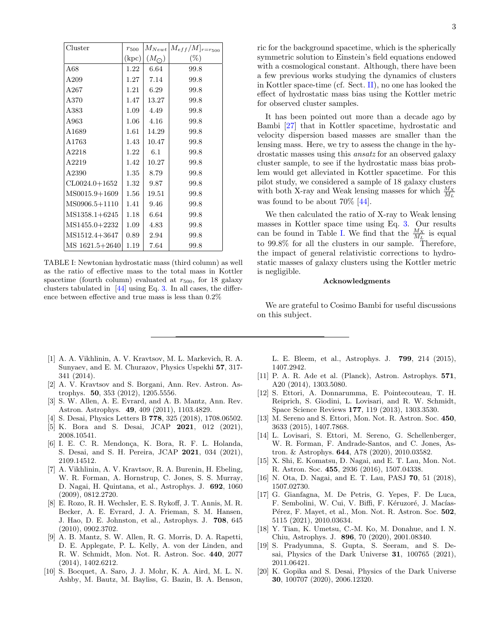| Cluster           | r <sub>500</sub> | $M_{Newt}$       | $[M_{eff}/M]_{r=r_{500}}$ |
|-------------------|------------------|------------------|---------------------------|
|                   | (kpc)            | $(M_{\bigodot})$ | $(\%)$                    |
| A68               | 1.22             | 6.64             | 99.8                      |
| A209              | 1.27             | 7.14             | 99.8                      |
| A267              | 1.21             | 6.29             | 99.8                      |
| A370              | 1.47             | 13.27            | 99.8                      |
| A383              | 1.09             | 4.49             | 99.8                      |
| A963              | 1.06             | 4.16             | 99.8                      |
| A1689             | 1.61             | 14.29            | 99.8                      |
| A1763             | 1.43             | 10.47            | 99.8                      |
| A2218             | 1.22             | 6.1              | 99.8                      |
| A2219             | 1.42             | 10.27            | 99.8                      |
| A2390             | 1.35             | 8.79             | 99.8                      |
| $CL0024.0 + 1652$ | 1.32             | 9.87             | 99.8                      |
| MS0015.9+1609     | 1.56             | 19.51            | 99.8                      |
| MS0906.5+1110     | 1.41             | 9.46             | 99.8                      |
| MS1358.1+6245     | 1.18             | 6.64             | 99.8                      |
| MS1455.0+2232     | 1.09             | 4.83             | 99.8                      |
| MS1512.4+3647     | 0.89             | 2.94             | 99.8                      |
| MS 1621.5+2640    | 1.19             | 7.64             | 99.8                      |

<span id="page-2-11"></span>TABLE I: Newtonian hydrostatic mass (third column) as well as the ratio of effective mass to the total mass in Kottler spacetime (fourth column) evaluated at  $r_{500}$ , for 18 galaxy clusters tabulated in [\[44\]](#page-3-20) using Eq. [3.](#page-1-3) In all cases, the difference between effective and true mass is less than 0.2%

ric for the background spacetime, which is the spherically symmetric solution to Einstein's field equations endowed with a cosmological constant. Although, there have been a few previous works studying the dynamics of clusters in Kottler space-time (cf. Sect. [II\)](#page-1-0), no one has looked the effect of hydrostatic mass bias using the Kottler metric for observed cluster samples.

It has been pointed out more than a decade ago by Bambi [\[27\]](#page-3-6) that in Kottler spacetime, hydrostatic and velocity dispersion based masses are smaller than the lensing mass. Here, we try to assess the change in the hydrostatic masses using this ansatz for an observed galaxy cluster sample, to see if the hydrostatic mass bias problem would get alleviated in Kottler spacetime. For this pilot study, we considered a sample of 18 galaxy clusters with both X-ray and Weak lensing masses for which  $\frac{M_X}{M_L}$ was found to be about 70% [\[44\]](#page-3-20).

We then calculated the ratio of X-ray to Weak lensing masses in Kottler space time using Eq. [3.](#page-1-3) Our results can be found in Table [I.](#page-2-11) We find that the  $\frac{M_X}{M_L}$  is equal to 99.8% for all the clusters in our sample. Therefore, the impact of general relativistic corrections to hydrostatic masses of galaxy clusters using the Kottler metric is negligible.

### Acknowledgments

We are grateful to Cosimo Bambi for useful discussions on this subject.

- <span id="page-2-0"></span>[1] A. A. Vikhlinin, A. V. Kravtsov, M. L. Markevich, R. A. Sunyaev, and E. M. Churazov, Physics Uspekhi 57, 317- 341 (2014).
- [2] A. V. Kravtsov and S. Borgani, Ann. Rev. Astron. Astrophys. 50, 353 (2012), 1205.5556.
- <span id="page-2-1"></span>[3] S. W. Allen, A. E. Evrard, and A. B. Mantz, Ann. Rev. Astron. Astrophys. 49, 409 (2011), 1103.4829.
- [4] S. Desai, Physics Letters B 778, 325 (2018), 1708.06502.
- [5] K. Bora and S. Desai, JCAP 2021, 012 (2021), 2008.10541.
- <span id="page-2-2"></span>[6] I. E. C. R. Mendonça, K. Bora, R. F. L. Holanda, S. Desai, and S. H. Pereira, JCAP 2021, 034 (2021), 2109.14512.
- <span id="page-2-3"></span>[7] A. Vikhlinin, A. V. Kravtsov, R. A. Burenin, H. Ebeling, W. R. Forman, A. Hornstrup, C. Jones, S. S. Murray, D. Nagai, H. Quintana, et al., Astrophys. J. 692, 1060 (2009), 0812.2720.
- [8] E. Rozo, R. H. Wechsler, E. S. Rykoff, J. T. Annis, M. R. Becker, A. E. Evrard, J. A. Frieman, S. M. Hansen, J. Hao, D. E. Johnston, et al., Astrophys. J. 708, 645 (2010), 0902.3702.
- [9] A. B. Mantz, S. W. Allen, R. G. Morris, D. A. Rapetti, D. E. Applegate, P. L. Kelly, A. von der Linden, and R. W. Schmidt, Mon. Not. R. Astron. Soc. 440, 2077 (2014), 1402.6212.
- <span id="page-2-4"></span>[10] S. Bocquet, A. Saro, J. J. Mohr, K. A. Aird, M. L. N. Ashby, M. Bautz, M. Bayliss, G. Bazin, B. A. Benson,

L. E. Bleem, et al., Astrophys. J. 799, 214 (2015), 1407.2942.

- <span id="page-2-5"></span>[11] P. A. R. Ade et al. (Planck), Astron. Astrophys. **571**, A20 (2014), 1303.5080.
- <span id="page-2-6"></span>[12] S. Ettori, A. Donnarumma, E. Pointecouteau, T. H. Reiprich, S. Giodini, L. Lovisari, and R. W. Schmidt, Space Science Reviews 177, 119 (2013), 1303.3530.
- [13] M. Sereno and S. Ettori, Mon. Not. R. Astron. Soc. 450, 3633 (2015), 1407.7868.
- <span id="page-2-7"></span>[14] L. Lovisari, S. Ettori, M. Sereno, G. Schellenberger, W. R. Forman, F. Andrade-Santos, and C. Jones, Astron. & Astrophys. 644, A78 (2020), 2010.03582.
- <span id="page-2-8"></span>[15] X. Shi, E. Komatsu, D. Nagai, and E. T. Lau, Mon. Not. R. Astron. Soc. 455, 2936 (2016), 1507.04338.
- [16] N. Ota, D. Nagai, and E. T. Lau, PASJ 70, 51 (2018), 1507.02730.
- <span id="page-2-9"></span>[17] G. Gianfagna, M. De Petris, G. Yepes, F. De Luca, F. Sembolini, W. Cui, V. Biffi, F. Kéruzoré, J. Macías-Pérez, F. Mayet, et al., Mon. Not. R. Astron. Soc. 502, 5115 (2021), 2010.03634.
- <span id="page-2-10"></span>[18] Y. Tian, K. Umetsu, C.-M. Ko, M. Donahue, and I. N. Chiu, Astrophys. J. 896, 70 (2020), 2001.08340.
- [19] S. Pradyumna, S. Gupta, S. Seeram, and S. Desai, Physics of the Dark Universe 31, 100765 (2021), 2011.06421.
- [20] K. Gopika and S. Desai, Physics of the Dark Universe 30, 100707 (2020), 2006.12320.